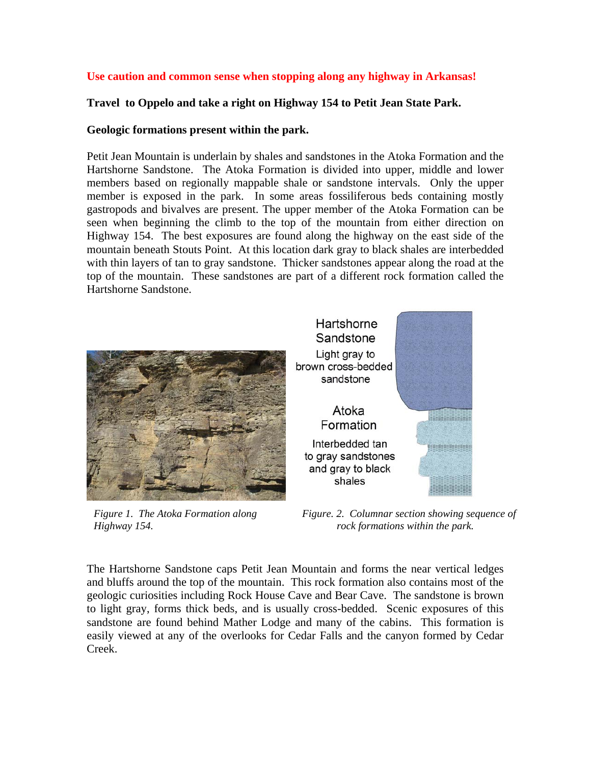### **Use caution and common sense when stopping along any highway in Arkansas!**

### **Travel to Oppelo and take a right on Highway 154 to Petit Jean State Park.**

#### **Geologic formations present within the park.**

Petit Jean Mountain is underlain by shales and sandstones in the Atoka Formation and the Hartshorne Sandstone. The Atoka Formation is divided into upper, middle and lower members based on regionally mappable shale or sandstone intervals. Only the upper member is exposed in the park. In some areas fossiliferous beds containing mostly gastropods and bivalves are present. The upper member of the Atoka Formation can be seen when beginning the climb to the top of the mountain from either direction on Highway 154. The best exposures are found along the highway on the east side of the mountain beneath Stouts Point. At this location dark gray to black shales are interbedded with thin layers of tan to gray sandstone. Thicker sandstones appear along the road at the top of the mountain. These sandstones are part of a different rock formation called the Hartshorne Sandstone.



*Figure 1. The Atoka Formation along Highway 154.* 

*Figure. 2. Columnar section showing sequence of rock formations within the park.* 

**ELIBERTISTI** 

ESSESSES ESSE

The Hartshorne Sandstone caps Petit Jean Mountain and forms the near vertical ledges and bluffs around the top of the mountain. This rock formation also contains most of the geologic curiosities including Rock House Cave and Bear Cave. The sandstone is brown to light gray, forms thick beds, and is usually cross-bedded. Scenic exposures of this sandstone are found behind Mather Lodge and many of the cabins. This formation is easily viewed at any of the overlooks for Cedar Falls and the canyon formed by Cedar Creek.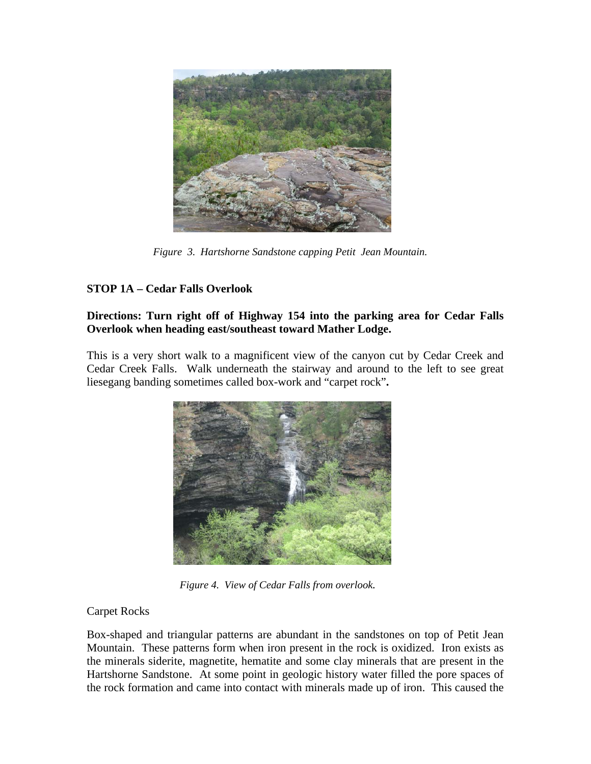

 *Figure 3. Hartshorne Sandstone capping Petit Jean Mountain.* 

# **STOP 1A – Cedar Falls Overlook**

### **Directions: Turn right off of Highway 154 into the parking area for Cedar Falls Overlook when heading east/southeast toward Mather Lodge.**

This is a very short walk to a magnificent view of the canyon cut by Cedar Creek and Cedar Creek Falls. Walk underneath the stairway and around to the left to see great liesegang banding sometimes called box-work and "carpet rock"**.** 



*Figure 4. View of Cedar Falls from overlook.* 

## Carpet Rocks

Box-shaped and triangular patterns are abundant in the sandstones on top of Petit Jean Mountain. These patterns form when iron present in the rock is oxidized. Iron exists as the minerals siderite, magnetite, hematite and some clay minerals that are present in the Hartshorne Sandstone. At some point in geologic history water filled the pore spaces of the rock formation and came into contact with minerals made up of iron. This caused the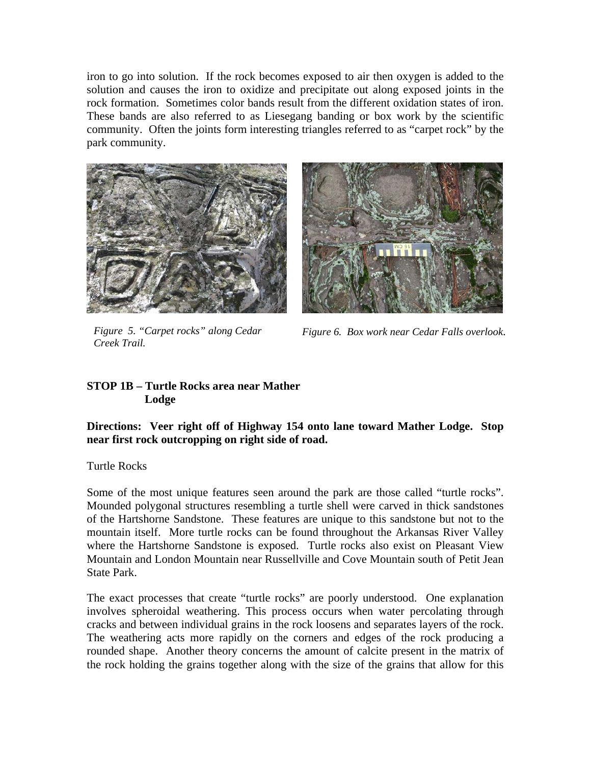iron to go into solution. If the rock becomes exposed to air then oxygen is added to the solution and causes the iron to oxidize and precipitate out along exposed joints in the rock formation. Sometimes color bands result from the different oxidation states of iron. These bands are also referred to as Liesegang banding or box work by the scientific community. Often the joints form interesting triangles referred to as "carpet rock" by the park community.





*Figure 5. "Carpet rocks" along Cedar Creek Trail.*

*Figure 6. Box work near Cedar Falls overlook*.

### **STOP 1B – Turtle Rocks area near Mather Lodge**

**Directions: Veer right off of Highway 154 onto lane toward Mather Lodge. Stop near first rock outcropping on right side of road.** 

Turtle Rocks

Some of the most unique features seen around the park are those called "turtle rocks". Mounded polygonal structures resembling a turtle shell were carved in thick sandstones of the Hartshorne Sandstone. These features are unique to this sandstone but not to the mountain itself. More turtle rocks can be found throughout the Arkansas River Valley where the Hartshorne Sandstone is exposed. Turtle rocks also exist on Pleasant View Mountain and London Mountain near Russellville and Cove Mountain south of Petit Jean State Park.

The exact processes that create "turtle rocks" are poorly understood. One explanation involves spheroidal weathering. This process occurs when water percolating through cracks and between individual grains in the rock loosens and separates layers of the rock. The weathering acts more rapidly on the corners and edges of the rock producing a rounded shape. Another theory concerns the amount of calcite present in the matrix of the rock holding the grains together along with the size of the grains that allow for this